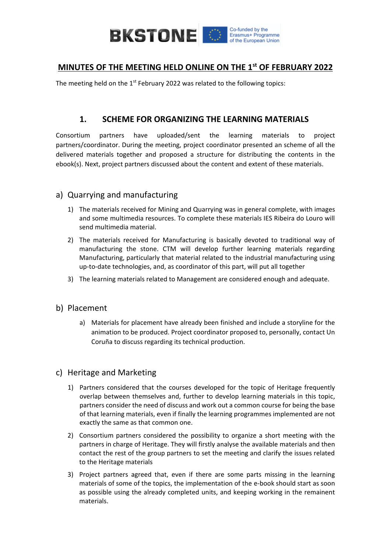

### **MINUTES OF THE MEETING HELD ONLINE ON THE 1st OF FEBRUARY 2022**

The meeting held on the  $1^{st}$  February 2022 was related to the following topics:

### **1. SCHEME FOR ORGANIZING THE LEARNING MATERIALS**

Consortium partners have uploaded/sent the learning materials to project partners/coordinator. During the meeting, project coordinator presented an scheme of all the delivered materials together and proposed a structure for distributing the contents in the ebook(s). Next, project partners discussed about the content and extent of these materials.

### a) Quarrying and manufacturing

- 1) The materials received for Mining and Quarrying was in general complete, with images and some multimedia resources. To complete these materials IES Ribeira do Louro will send multimedia material.
- 2) The materials received for Manufacturing is basically devoted to traditional way of manufacturing the stone. CTM will develop further learning materials regarding Manufacturing, particularly that material related to the industrial manufacturing using up-to-date technologies, and, as coordinator of this part, will put all together
- 3) The learning materials related to Management are considered enough and adequate.

#### b) Placement

a) Materials for placement have already been finished and include a storyline for the animation to be produced. Project coordinator proposed to, personally, contact Un Coruña to discuss regarding its technical production.

#### c) Heritage and Marketing

- 1) Partners considered that the courses developed for the topic of Heritage frequently overlap between themselves and, further to develop learning materials in this topic, partners consider the need of discuss and work out a common course for being the base of that learning materials, even if finally the learning programmes implemented are not exactly the same as that common one.
- 2) Consortium partners considered the possibility to organize a short meeting with the partners in charge of Heritage. They will firstly analyse the available materials and then contact the rest of the group partners to set the meeting and clarify the issues related to the Heritage materials
- 3) Project partners agreed that, even if there are some parts missing in the learning materials of some of the topics, the implementation of the e-book should start as soon as possible using the already completed units, and keeping working in the remainent materials.